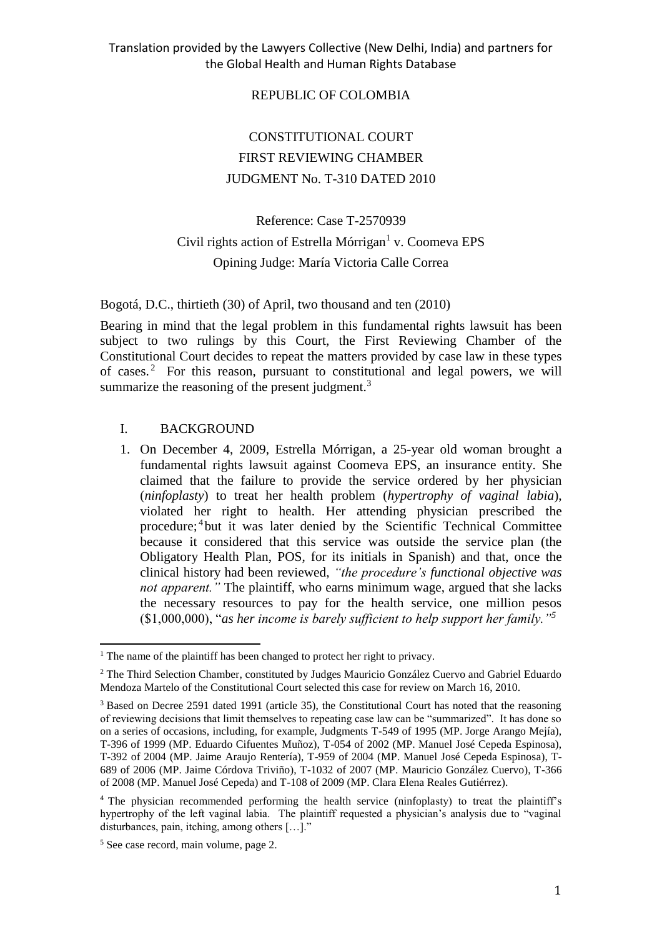### REPUBLIC OF COLOMBIA

# CONSTITUTIONAL COURT FIRST REVIEWING CHAMBER JUDGMENT No. T-310 DATED 2010

# Reference: Case T-2570939 Civil rights action of Estrella Mórrigan<sup>1</sup> v. Coomeva EPS Opining Judge: María Victoria Calle Correa

Bogotá, D.C., thirtieth (30) of April, two thousand and ten (2010)

Bearing in mind that the legal problem in this fundamental rights lawsuit has been subject to two rulings by this Court, the First Reviewing Chamber of the Constitutional Court decides to repeat the matters provided by case law in these types of cases.<sup>2</sup> For this reason, pursuant to constitutional and legal powers, we will summarize the reasoning of the present judgment.<sup>3</sup>

#### I. BACKGROUND

1. On December 4, 2009, Estrella Mórrigan, a 25-year old woman brought a fundamental rights lawsuit against Coomeva EPS, an insurance entity. She claimed that the failure to provide the service ordered by her physician (*ninfoplasty*) to treat her health problem (*hypertrophy of vaginal labia*), violated her right to health. Her attending physician prescribed the procedure;<sup>4</sup> but it was later denied by the Scientific Technical Committee because it considered that this service was outside the service plan (the Obligatory Health Plan, POS, for its initials in Spanish) and that, once the clinical history had been reviewed, *"the procedure's functional objective was not apparent."* The plaintiff, who earns minimum wage, argued that she lacks the necessary resources to pay for the health service, one million pesos (\$1,000,000), "*as her income is barely sufficient to help support her family."<sup>5</sup>*

 $\overline{a}$  $<sup>1</sup>$  The name of the plaintiff has been changed to protect her right to privacy.</sup>

<sup>2</sup> The Third Selection Chamber, constituted by Judges Mauricio González Cuervo and Gabriel Eduardo Mendoza Martelo of the Constitutional Court selected this case for review on March 16, 2010.

<sup>3</sup> Based on Decree 2591 dated 1991 (article 35), the Constitutional Court has noted that the reasoning of reviewing decisions that limit themselves to repeating case law can be "summarized". It has done so on a series of occasions, including, for example, Judgments T-549 of 1995 (MP. Jorge Arango Mejía), T-396 of 1999 (MP. Eduardo Cifuentes Muñoz), T-054 of 2002 (MP. Manuel José Cepeda Espinosa), T-392 of 2004 (MP. Jaime Araujo Rentería), T-959 of 2004 (MP. Manuel José Cepeda Espinosa), T-689 of 2006 (MP. Jaime Córdova Triviño), T-1032 of 2007 (MP. Mauricio González Cuervo), T-366 of 2008 (MP. Manuel José Cepeda) and T-108 of 2009 (MP. Clara Elena Reales Gutiérrez).

<sup>&</sup>lt;sup>4</sup> The physician recommended performing the health service (ninfoplasty) to treat the plaintiff's hypertrophy of the left vaginal labia. The plaintiff requested a physician's analysis due to "vaginal disturbances, pain, itching, among others […]."

<sup>5</sup> See case record, main volume, page 2.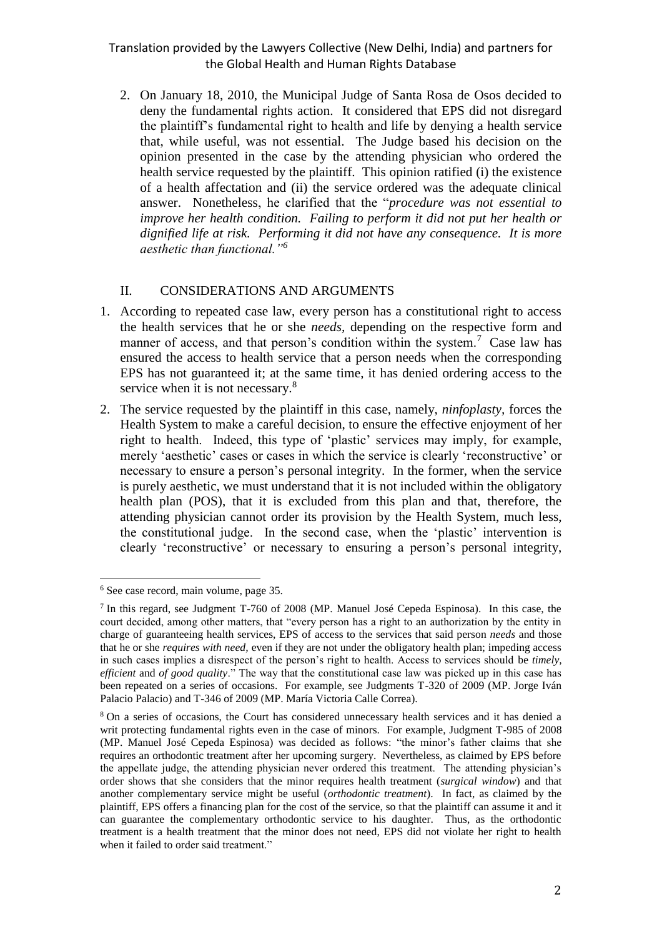2. On January 18, 2010, the Municipal Judge of Santa Rosa de Osos decided to deny the fundamental rights action. It considered that EPS did not disregard the plaintiff's fundamental right to health and life by denying a health service that, while useful, was not essential. The Judge based his decision on the opinion presented in the case by the attending physician who ordered the health service requested by the plaintiff. This opinion ratified (i) the existence of a health affectation and (ii) the service ordered was the adequate clinical answer. Nonetheless, he clarified that the "*procedure was not essential to improve her health condition. Failing to perform it did not put her health or dignified life at risk. Performing it did not have any consequence. It is more aesthetic than functional."<sup>6</sup>*

#### II. CONSIDERATIONS AND ARGUMENTS

- 1. According to repeated case law, every person has a constitutional right to access the health services that he or she *needs,* depending on the respective form and manner of access, and that person's condition within the system.<sup>7</sup> Case law has ensured the access to health service that a person needs when the corresponding EPS has not guaranteed it; at the same time, it has denied ordering access to the service when it is not necessary.<sup>8</sup>
- 2. The service requested by the plaintiff in this case, namely, *ninfoplasty,* forces the Health System to make a careful decision, to ensure the effective enjoyment of her right to health. Indeed, this type of 'plastic' services may imply, for example, merely 'aesthetic' cases or cases in which the service is clearly 'reconstructive' or necessary to ensure a person's personal integrity. In the former, when the service is purely aesthetic, we must understand that it is not included within the obligatory health plan (POS), that it is excluded from this plan and that, therefore, the attending physician cannot order its provision by the Health System, much less, the constitutional judge. In the second case, when the 'plastic' intervention is clearly 'reconstructive' or necessary to ensuring a person's personal integrity,

 $\overline{a}$ <sup>6</sup> See case record, main volume, page 35.

<sup>7</sup> In this regard, see Judgment T-760 of 2008 (MP. Manuel José Cepeda Espinosa). In this case, the court decided, among other matters, that "every person has a right to an authorization by the entity in charge of guaranteeing health services, EPS of access to the services that said person *needs* and those that he or she *requires with need,* even if they are not under the obligatory health plan; impeding access in such cases implies a disrespect of the person's right to health. Access to services should be *timely, efficient* and *of good quality*." The way that the constitutional case law was picked up in this case has been repeated on a series of occasions. For example, see Judgments T-320 of 2009 (MP. Jorge Iván Palacio Palacio) and T-346 of 2009 (MP. María Victoria Calle Correa).

<sup>8</sup> On a series of occasions, the Court has considered unnecessary health services and it has denied a writ protecting fundamental rights even in the case of minors. For example, Judgment T-985 of 2008 (MP. Manuel José Cepeda Espinosa) was decided as follows: "the minor's father claims that she requires an orthodontic treatment after her upcoming surgery. Nevertheless, as claimed by EPS before the appellate judge, the attending physician never ordered this treatment. The attending physician's order shows that she considers that the minor requires health treatment (*surgical window*) and that another complementary service might be useful (*orthodontic treatment*). In fact, as claimed by the plaintiff, EPS offers a financing plan for the cost of the service, so that the plaintiff can assume it and it can guarantee the complementary orthodontic service to his daughter. Thus, as the orthodontic treatment is a health treatment that the minor does not need, EPS did not violate her right to health when it failed to order said treatment."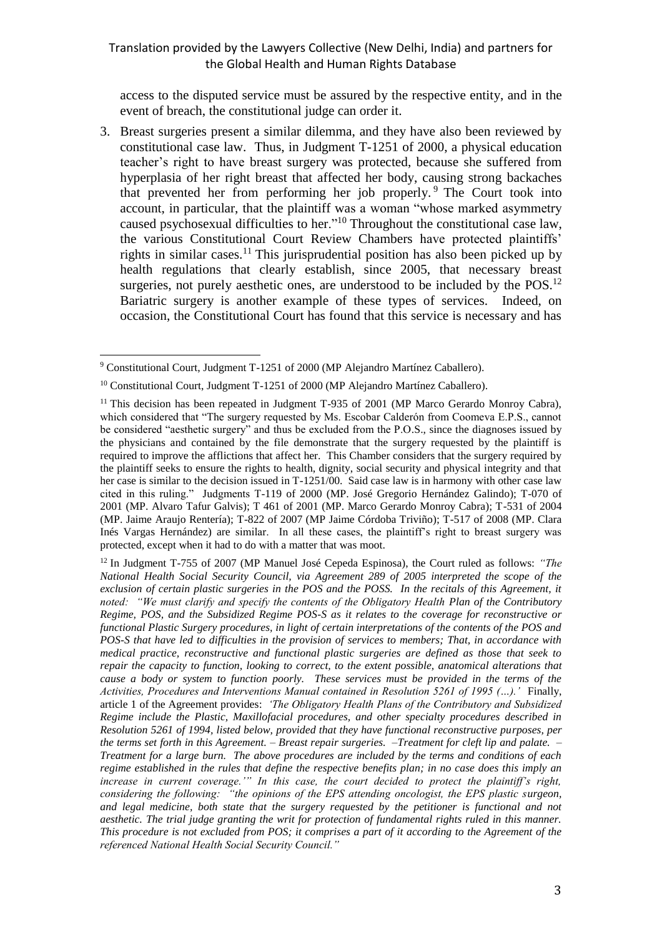access to the disputed service must be assured by the respective entity, and in the event of breach, the constitutional judge can order it.

3. Breast surgeries present a similar dilemma, and they have also been reviewed by constitutional case law. Thus, in Judgment T-1251 of 2000, a physical education teacher's right to have breast surgery was protected, because she suffered from hyperplasia of her right breast that affected her body, causing strong backaches that prevented her from performing her job properly. <sup>9</sup> The Court took into account, in particular, that the plaintiff was a woman "whose marked asymmetry caused psychosexual difficulties to her."<sup>10</sup> Throughout the constitutional case law, the various Constitutional Court Review Chambers have protected plaintiffs' rights in similar cases.<sup>11</sup> This jurisprudential position has also been picked up by health regulations that clearly establish, since 2005, that necessary breast surgeries, not purely aesthetic ones, are understood to be included by the  $POS<sup>12</sup>$ Bariatric surgery is another example of these types of services. Indeed, on occasion, the Constitutional Court has found that this service is necessary and has

 $\overline{a}$ <sup>9</sup> Constitutional Court, Judgment T-1251 of 2000 (MP Alejandro Martínez Caballero).

<sup>&</sup>lt;sup>10</sup> Constitutional Court, Judgment T-1251 of 2000 (MP Alejandro Martínez Caballero).

<sup>&</sup>lt;sup>11</sup> This decision has been repeated in Judgment T-935 of 2001 (MP Marco Gerardo Monroy Cabra), which considered that "The surgery requested by Ms. Escobar Calderón from Coomeva E.P.S., cannot be considered "aesthetic surgery" and thus be excluded from the P.O.S., since the diagnoses issued by the physicians and contained by the file demonstrate that the surgery requested by the plaintiff is required to improve the afflictions that affect her. This Chamber considers that the surgery required by the plaintiff seeks to ensure the rights to health, dignity, social security and physical integrity and that her case is similar to the decision issued in T-1251/00. Said case law is in harmony with other case law cited in this ruling." Judgments T-119 of 2000 (MP. José Gregorio Hernández Galindo); T-070 of 2001 (MP. Alvaro Tafur Galvis); T 461 of 2001 (MP. Marco Gerardo Monroy Cabra); T-531 of 2004 (MP. Jaime Araujo Rentería); T-822 of 2007 (MP Jaime Córdoba Triviño); T-517 of 2008 (MP. Clara Inés Vargas Hernández) are similar. In all these cases, the plaintiff's right to breast surgery was protected, except when it had to do with a matter that was moot.

<sup>12</sup> In Judgment T-755 of 2007 (MP Manuel José Cepeda Espinosa), the Court ruled as follows: *"The National Health Social Security Council, via Agreement 289 of 2005 interpreted the scope of the exclusion of certain plastic surgeries in the POS and the POSS. In the recitals of this Agreement, it noted: "We must clarify and specify the contents of the Obligatory Health Plan of the Contributory Regime, POS, and the Subsidized Regime POS-S as it relates to the coverage for reconstructive or functional Plastic Surgery procedures, in light of certain interpretations of the contents of the POS and POS-S that have led to difficulties in the provision of services to members; That, in accordance with medical practice, reconstructive and functional plastic surgeries are defined as those that seek to repair the capacity to function, looking to correct, to the extent possible, anatomical alterations that cause a body or system to function poorly. These services must be provided in the terms of the Activities, Procedures and Interventions Manual contained in Resolution 5261 of 1995 (…).'* Finally, article 1 of the Agreement provides: *'The Obligatory Health Plans of the Contributory and Subsidized Regime include the Plastic, Maxillofacial procedures, and other specialty procedures described in Resolution 5261 of 1994, listed below, provided that they have functional reconstructive purposes, per the terms set forth in this Agreement. – Breast repair surgeries. –Treatment for cleft lip and palate. – Treatment for a large burn. The above procedures are included by the terms and conditions of each regime established in the rules that define the respective benefits plan; in no case does this imply an increase in current coverage.'" In this case, the court decided to protect the plaintiff's right, considering the following: "the opinions of the EPS attending oncologist, the EPS plastic surgeon, and legal medicine, both state that the surgery requested by the petitioner is functional and not aesthetic. The trial judge granting the writ for protection of fundamental rights ruled in this manner. This procedure is not excluded from POS; it comprises a part of it according to the Agreement of the referenced National Health Social Security Council."*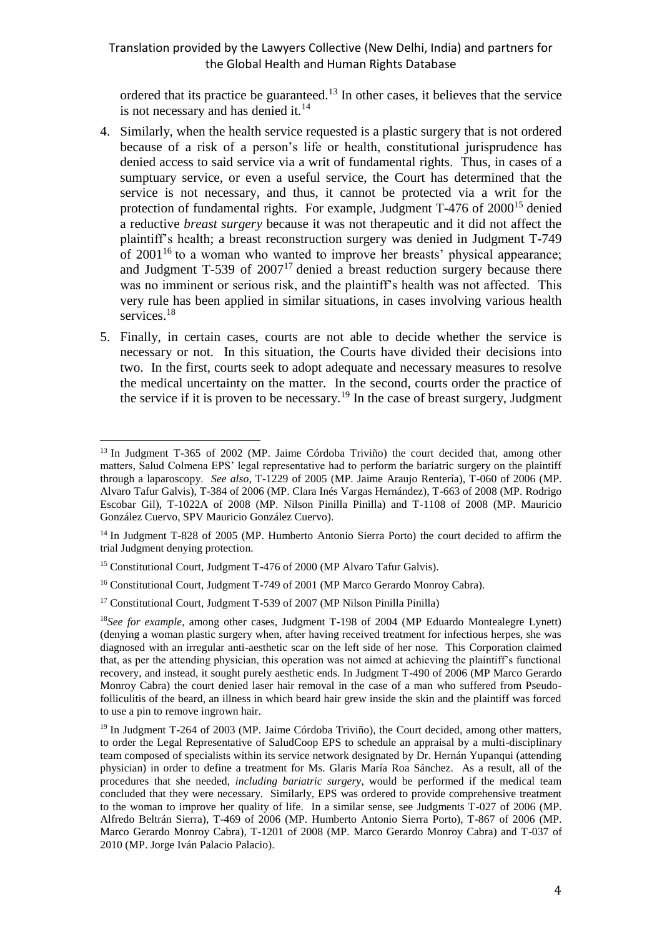ordered that its practice be guaranteed.<sup>13</sup> In other cases, it believes that the service is not necessary and has denied it. $^{14}$ 

- 4. Similarly, when the health service requested is a plastic surgery that is not ordered because of a risk of a person's life or health, constitutional jurisprudence has denied access to said service via a writ of fundamental rights. Thus, in cases of a sumptuary service, or even a useful service, the Court has determined that the service is not necessary, and thus, it cannot be protected via a writ for the protection of fundamental rights. For example, Judgment  $T-476$  of  $2000^{15}$  denied a reductive *breast surgery* because it was not therapeutic and it did not affect the plaintiff's health; a breast reconstruction surgery was denied in Judgment T-749 of 2001<sup>16</sup> to a woman who wanted to improve her breasts' physical appearance; and Judgment  $T-539$  of  $2007<sup>17</sup>$  denied a breast reduction surgery because there was no imminent or serious risk, and the plaintiff's health was not affected. This very rule has been applied in similar situations, in cases involving various health services.<sup>18</sup>
- 5. Finally, in certain cases, courts are not able to decide whether the service is necessary or not. In this situation, the Courts have divided their decisions into two. In the first, courts seek to adopt adequate and necessary measures to resolve the medical uncertainty on the matter. In the second, courts order the practice of the service if it is proven to be necessary.<sup>19</sup> In the case of breast surgery, Judgment

 $\overline{a}$ <sup>13</sup> In Judgment T-365 of 2002 (MP. Jaime Córdoba Triviño) the court decided that, among other matters, Salud Colmena EPS' legal representative had to perform the bariatric surgery on the plaintiff through a laparoscopy. *See also*, T-1229 of 2005 (MP. Jaime Araujo Rentería), T-060 of 2006 (MP. Alvaro Tafur Galvis), T-384 of 2006 (MP. Clara Inés Vargas Hernández), T-663 of 2008 (MP. Rodrigo Escobar Gil), T-1022A of 2008 (MP. Nilson Pinilla Pinilla) and T-1108 of 2008 (MP. Mauricio González Cuervo, SPV Mauricio González Cuervo).

<sup>&</sup>lt;sup>14</sup> In Judgment T-828 of 2005 (MP. Humberto Antonio Sierra Porto) the court decided to affirm the trial Judgment denying protection.

<sup>&</sup>lt;sup>15</sup> Constitutional Court, Judgment T-476 of 2000 (MP Alvaro Tafur Galvis).

<sup>16</sup> Constitutional Court, Judgment T-749 of 2001 (MP Marco Gerardo Monroy Cabra).

<sup>&</sup>lt;sup>17</sup> Constitutional Court, Judgment T-539 of 2007 (MP Nilson Pinilla Pinilla)

<sup>18</sup>*See for example*, among other cases, Judgment T-198 of 2004 (MP Eduardo Montealegre Lynett) (denying a woman plastic surgery when, after having received treatment for infectious herpes, she was diagnosed with an irregular anti-aesthetic scar on the left side of her nose. This Corporation claimed that, as per the attending physician, this operation was not aimed at achieving the plaintiff's functional recovery, and instead, it sought purely aesthetic ends. In Judgment T-490 of 2006 (MP Marco Gerardo Monroy Cabra) the court denied laser hair removal in the case of a man who suffered from Pseudofolliculitis of the beard, an illness in which beard hair grew inside the skin and the plaintiff was forced to use a pin to remove ingrown hair.

<sup>&</sup>lt;sup>19</sup> In Judgment T-264 of 2003 (MP. Jaime Córdoba Triviño), the Court decided, among other matters, to order the Legal Representative of SaludCoop EPS to schedule an appraisal by a multi-disciplinary team composed of specialists within its service network designated by Dr. Hernán Yupanqui (attending physician) in order to define a treatment for Ms. Glaris María Roa Sánchez. As a result, all of the procedures that she needed, *including bariatric surgery*, would be performed if the medical team concluded that they were necessary. Similarly, EPS was ordered to provide comprehensive treatment to the woman to improve her quality of life. In a similar sense, see Judgments T-027 of 2006 (MP. Alfredo Beltrán Sierra), T-469 of 2006 (MP. Humberto Antonio Sierra Porto), T-867 of 2006 (MP. Marco Gerardo Monroy Cabra), T-1201 of 2008 (MP. Marco Gerardo Monroy Cabra) and T-037 of 2010 (MP. Jorge Iván Palacio Palacio).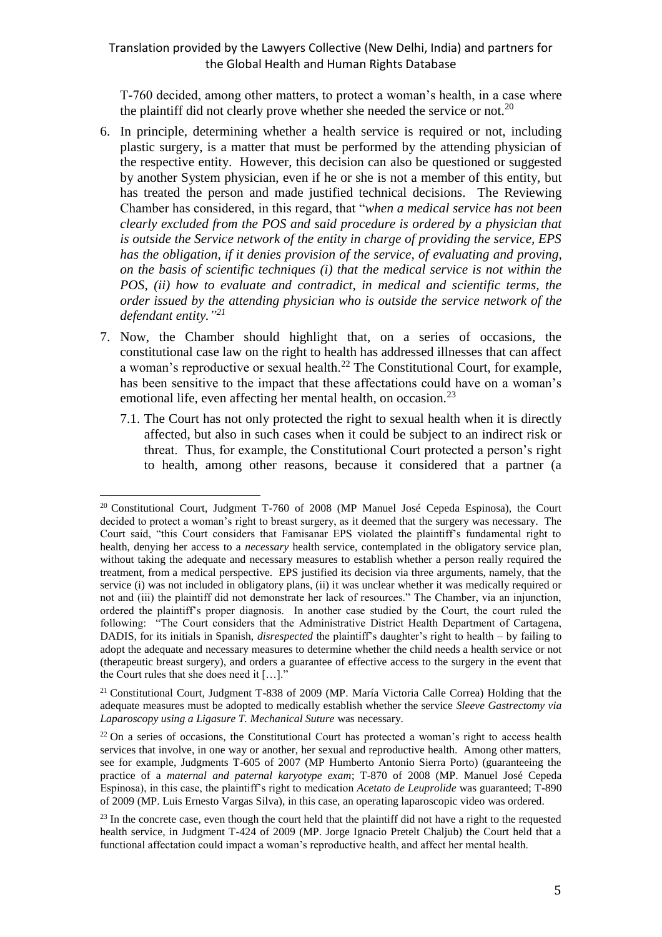T-760 decided, among other matters, to protect a woman's health, in a case where the plaintiff did not clearly prove whether she needed the service or not.<sup>20</sup>

- 6. In principle, determining whether a health service is required or not, including plastic surgery, is a matter that must be performed by the attending physician of the respective entity. However, this decision can also be questioned or suggested by another System physician, even if he or she is not a member of this entity, but has treated the person and made justified technical decisions. The Reviewing Chamber has considered, in this regard, that "*when a medical service has not been clearly excluded from the POS and said procedure is ordered by a physician that is outside the Service network of the entity in charge of providing the service, EPS has the obligation, if it denies provision of the service, of evaluating and proving, on the basis of scientific techniques (i) that the medical service is not within the POS, (ii) how to evaluate and contradict, in medical and scientific terms, the order issued by the attending physician who is outside the service network of the defendant entity." 21*
- 7. Now, the Chamber should highlight that, on a series of occasions, the constitutional case law on the right to health has addressed illnesses that can affect a woman's reproductive or sexual health.<sup>22</sup> The Constitutional Court, for example, has been sensitive to the impact that these affectations could have on a woman's emotional life, even affecting her mental health, on occasion.<sup>23</sup>
	- 7.1. The Court has not only protected the right to sexual health when it is directly affected, but also in such cases when it could be subject to an indirect risk or threat. Thus, for example, the Constitutional Court protected a person's right to health, among other reasons, because it considered that a partner (a

 $\overline{a}$ 

 $20$  Constitutional Court, Judgment T-760 of 2008 (MP Manuel José Cepeda Espinosa), the Court decided to protect a woman's right to breast surgery, as it deemed that the surgery was necessary. The Court said, "this Court considers that Famisanar EPS violated the plaintiff's fundamental right to health, denying her access to a *necessary* health service, contemplated in the obligatory service plan, without taking the adequate and necessary measures to establish whether a person really required the treatment, from a medical perspective. EPS justified its decision via three arguments, namely, that the service (i) was not included in obligatory plans, (ii) it was unclear whether it was medically required or not and (iii) the plaintiff did not demonstrate her lack of resources." The Chamber, via an injunction, ordered the plaintiff's proper diagnosis. In another case studied by the Court, the court ruled the following: "The Court considers that the Administrative District Health Department of Cartagena, DADIS, for its initials in Spanish, *disrespected* the plaintiff's daughter's right to health – by failing to adopt the adequate and necessary measures to determine whether the child needs a health service or not (therapeutic breast surgery), and orders a guarantee of effective access to the surgery in the event that the Court rules that she does need it […]."

<sup>21</sup> Constitutional Court, Judgment T-838 of 2009 (MP. María Victoria Calle Correa) Holding that the adequate measures must be adopted to medically establish whether the service *Sleeve Gastrectomy via Laparoscopy using a Ligasure T. Mechanical Suture* was necessary.

 $22$  On a series of occasions, the Constitutional Court has protected a woman's right to access health services that involve, in one way or another, her sexual and reproductive health. Among other matters, see for example, Judgments T-605 of 2007 (MP Humberto Antonio Sierra Porto) (guaranteeing the practice of a *maternal and paternal karyotype exam*; T-870 of 2008 (MP. Manuel José Cepeda Espinosa), in this case, the plaintiff's right to medication *Acetato de Leuprolide* was guaranteed; T-890 of 2009 (MP. Luis Ernesto Vargas Silva), in this case, an operating laparoscopic video was ordered.

<sup>&</sup>lt;sup>23</sup> In the concrete case, even though the court held that the plaintiff did not have a right to the requested health service, in Judgment T-424 of 2009 (MP. Jorge Ignacio Pretelt Chaljub) the Court held that a functional affectation could impact a woman's reproductive health, and affect her mental health.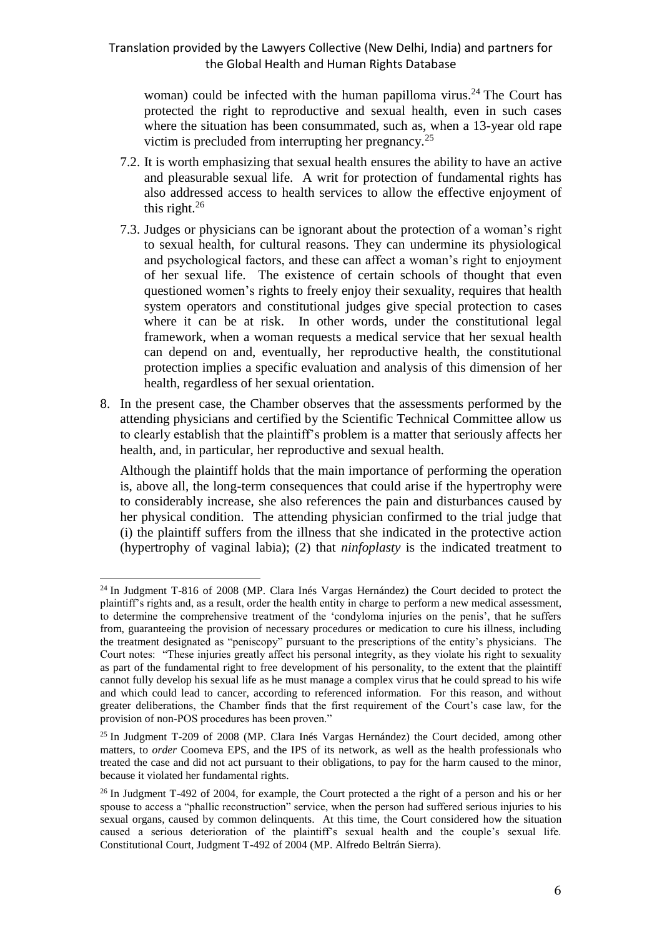woman) could be infected with the human papilloma virus.<sup>24</sup> The Court has protected the right to reproductive and sexual health, even in such cases where the situation has been consummated, such as, when a 13-year old rape victim is precluded from interrupting her pregnancy.<sup>25</sup>

- 7.2. It is worth emphasizing that sexual health ensures the ability to have an active and pleasurable sexual life. A writ for protection of fundamental rights has also addressed access to health services to allow the effective enjoyment of this right. $^{26}$
- 7.3. Judges or physicians can be ignorant about the protection of a woman's right to sexual health, for cultural reasons. They can undermine its physiological and psychological factors, and these can affect a woman's right to enjoyment of her sexual life. The existence of certain schools of thought that even questioned women's rights to freely enjoy their sexuality, requires that health system operators and constitutional judges give special protection to cases where it can be at risk. In other words, under the constitutional legal framework, when a woman requests a medical service that her sexual health can depend on and, eventually, her reproductive health, the constitutional protection implies a specific evaluation and analysis of this dimension of her health, regardless of her sexual orientation.
- 8. In the present case, the Chamber observes that the assessments performed by the attending physicians and certified by the Scientific Technical Committee allow us to clearly establish that the plaintiff's problem is a matter that seriously affects her health, and, in particular, her reproductive and sexual health.

Although the plaintiff holds that the main importance of performing the operation is, above all, the long-term consequences that could arise if the hypertrophy were to considerably increase, she also references the pain and disturbances caused by her physical condition. The attending physician confirmed to the trial judge that (i) the plaintiff suffers from the illness that she indicated in the protective action (hypertrophy of vaginal labia); (2) that *ninfoplasty* is the indicated treatment to

 $\overline{a}$ 

<sup>&</sup>lt;sup>24</sup> In Judgment T-816 of 2008 (MP. Clara Inés Vargas Hernández) the Court decided to protect the plaintiff's rights and, as a result, order the health entity in charge to perform a new medical assessment, to determine the comprehensive treatment of the 'condyloma injuries on the penis', that he suffers from, guaranteeing the provision of necessary procedures or medication to cure his illness, including the treatment designated as "peniscopy" pursuant to the prescriptions of the entity's physicians. The Court notes: "These injuries greatly affect his personal integrity, as they violate his right to sexuality as part of the fundamental right to free development of his personality, to the extent that the plaintiff cannot fully develop his sexual life as he must manage a complex virus that he could spread to his wife and which could lead to cancer, according to referenced information. For this reason, and without greater deliberations, the Chamber finds that the first requirement of the Court's case law, for the provision of non-POS procedures has been proven."

<sup>25</sup> In Judgment T-209 of 2008 (MP. Clara Inés Vargas Hernández) the Court decided, among other matters, to *order* Coomeva EPS, and the IPS of its network, as well as the health professionals who treated the case and did not act pursuant to their obligations, to pay for the harm caused to the minor, because it violated her fundamental rights.

<sup>&</sup>lt;sup>26</sup> In Judgment T-492 of 2004, for example, the Court protected a the right of a person and his or her spouse to access a "phallic reconstruction" service, when the person had suffered serious injuries to his sexual organs, caused by common delinquents. At this time, the Court considered how the situation caused a serious deterioration of the plaintiff's sexual health and the couple's sexual life. Constitutional Court, Judgment T-492 of 2004 (MP. Alfredo Beltrán Sierra).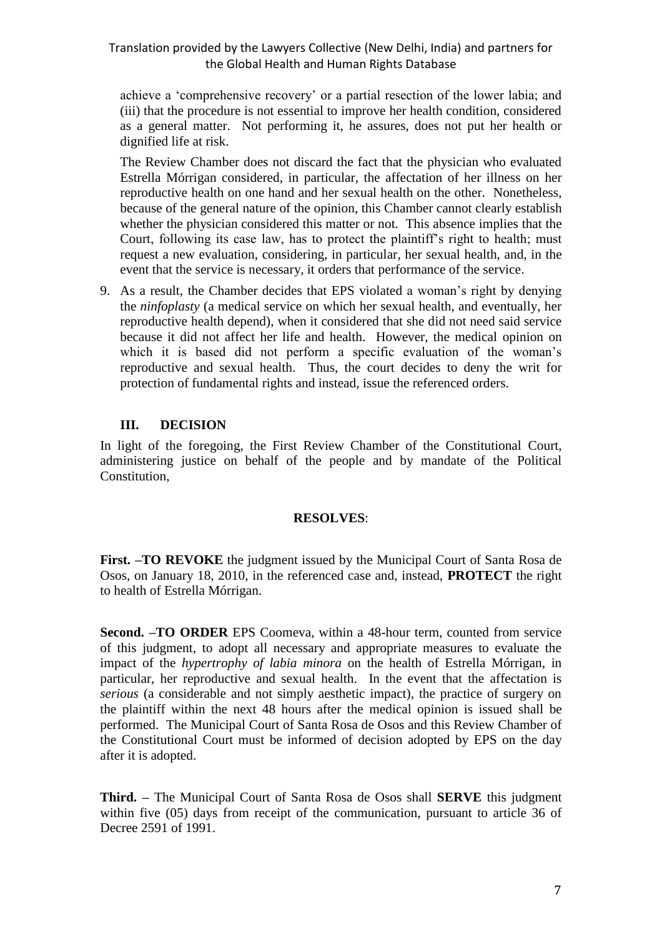achieve a 'comprehensive recovery' or a partial resection of the lower labia; and (iii) that the procedure is not essential to improve her health condition, considered as a general matter. Not performing it, he assures, does not put her health or dignified life at risk.

The Review Chamber does not discard the fact that the physician who evaluated Estrella Mórrigan considered, in particular, the affectation of her illness on her reproductive health on one hand and her sexual health on the other. Nonetheless, because of the general nature of the opinion, this Chamber cannot clearly establish whether the physician considered this matter or not. This absence implies that the Court, following its case law, has to protect the plaintiff's right to health; must request a new evaluation, considering, in particular, her sexual health, and, in the event that the service is necessary, it orders that performance of the service.

9. As a result, the Chamber decides that EPS violated a woman's right by denying the *ninfoplasty* (a medical service on which her sexual health, and eventually, her reproductive health depend), when it considered that she did not need said service because it did not affect her life and health. However, the medical opinion on which it is based did not perform a specific evaluation of the woman's reproductive and sexual health. Thus, the court decides to deny the writ for protection of fundamental rights and instead, issue the referenced orders.

#### **III. DECISION**

In light of the foregoing, the First Review Chamber of the Constitutional Court, administering justice on behalf of the people and by mandate of the Political Constitution,

#### **RESOLVES**:

**First. –TO REVOKE** the judgment issued by the Municipal Court of Santa Rosa de Osos, on January 18, 2010, in the referenced case and, instead, **PROTECT** the right to health of Estrella Mórrigan.

**Second. –TO ORDER** EPS Coomeva, within a 48-hour term, counted from service of this judgment, to adopt all necessary and appropriate measures to evaluate the impact of the *hypertrophy of labia minora* on the health of Estrella Mórrigan, in particular, her reproductive and sexual health. In the event that the affectation is *serious* (a considerable and not simply aesthetic impact), the practice of surgery on the plaintiff within the next 48 hours after the medical opinion is issued shall be performed. The Municipal Court of Santa Rosa de Osos and this Review Chamber of the Constitutional Court must be informed of decision adopted by EPS on the day after it is adopted.

**Third. –** The Municipal Court of Santa Rosa de Osos shall **SERVE** this judgment within five (05) days from receipt of the communication, pursuant to article 36 of Decree 2591 of 1991.